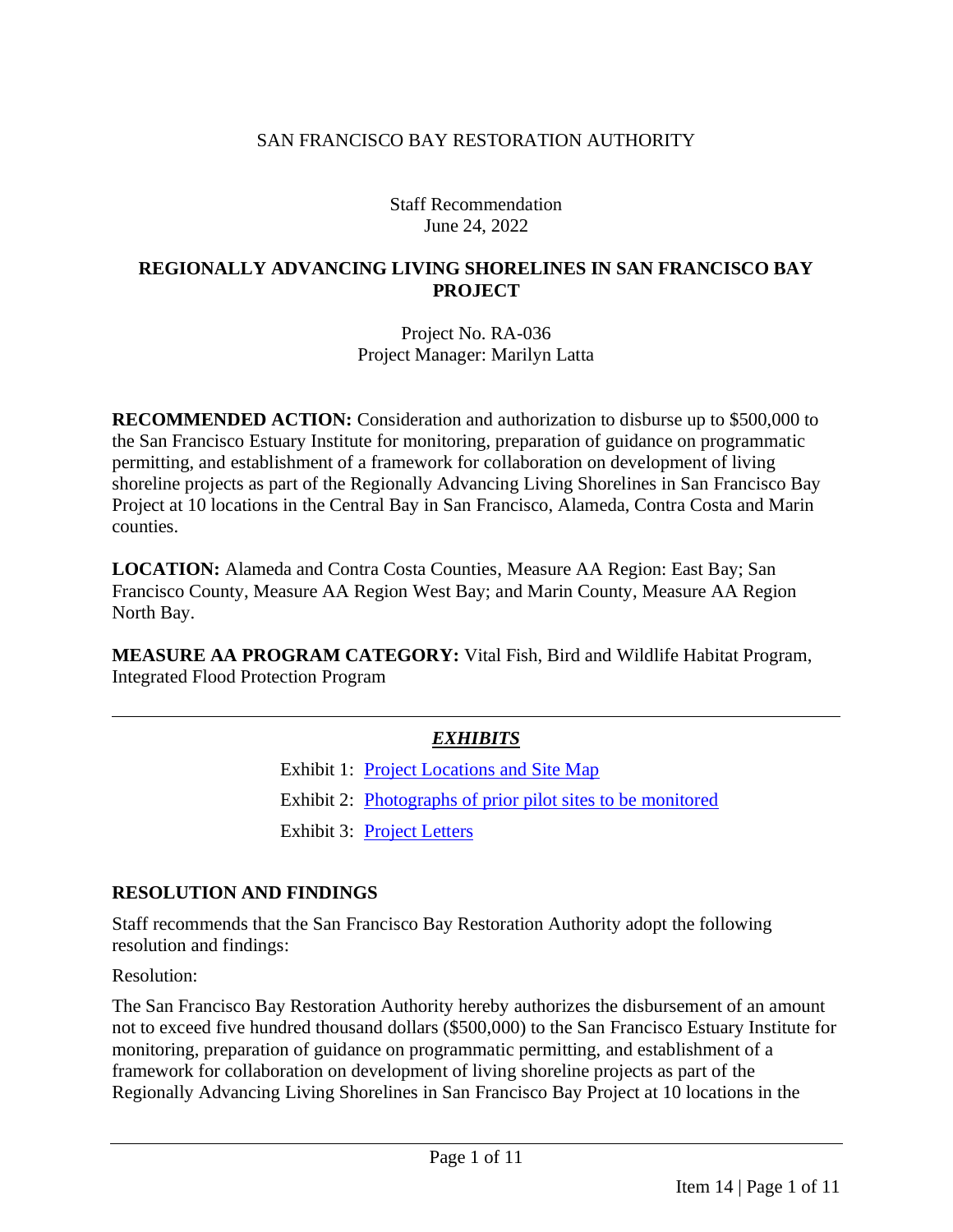#### SAN FRANCISCO BAY RESTORATION AUTHORITY

Staff Recommendation June 24, 2022

#### **REGIONALLY ADVANCING LIVING SHORELINES IN SAN FRANCISCO BAY PROJECT**

Project No. RA-036 Project Manager: Marilyn Latta

**RECOMMENDED ACTION:** Consideration and authorization to disburse up to \$500,000 to the San Francisco Estuary Institute for monitoring, preparation of guidance on programmatic permitting, and establishment of a framework for collaboration on development of living shoreline projects as part of the Regionally Advancing Living Shorelines in San Francisco Bay Project at 10 locations in the Central Bay in San Francisco, Alameda, Contra Costa and Marin counties.

**LOCATION:** Alameda and Contra Costa Counties, Measure AA Region: East Bay; San Francisco County, Measure AA Region West Bay; and Marin County, Measure AA Region North Bay.

**MEASURE AA PROGRAM CATEGORY:** Vital Fish, Bird and Wildlife Habitat Program, Integrated Flood Protection Program

### *EXHIBITS*

Exhibit 1: [Project Locations](https://www.sfbayrestore.org/sites/default/files/2022-06/Item%2014_Living%20Shorelines_Ex1.pdf) and Site Map

Exhibit 2: [Photographs of prior pilot sites to be monitored](https://www.sfbayrestore.org/sites/default/files/2022-06/Item%2014_Living%20Shorelines_Ex2.pdf)

Exhibit 3: [Project Letters](https://www.sfbayrestore.org/sites/default/files/2022-06/Item%2014_Living%20Shorelines_Ex3.pdf)

#### **RESOLUTION AND FINDINGS**

Staff recommends that the San Francisco Bay Restoration Authority adopt the following resolution and findings:

Resolution:

The San Francisco Bay Restoration Authority hereby authorizes the disbursement of an amount not to exceed five hundred thousand dollars (\$500,000) to the San Francisco Estuary Institute for monitoring, preparation of guidance on programmatic permitting, and establishment of a framework for collaboration on development of living shoreline projects as part of the Regionally Advancing Living Shorelines in San Francisco Bay Project at 10 locations in the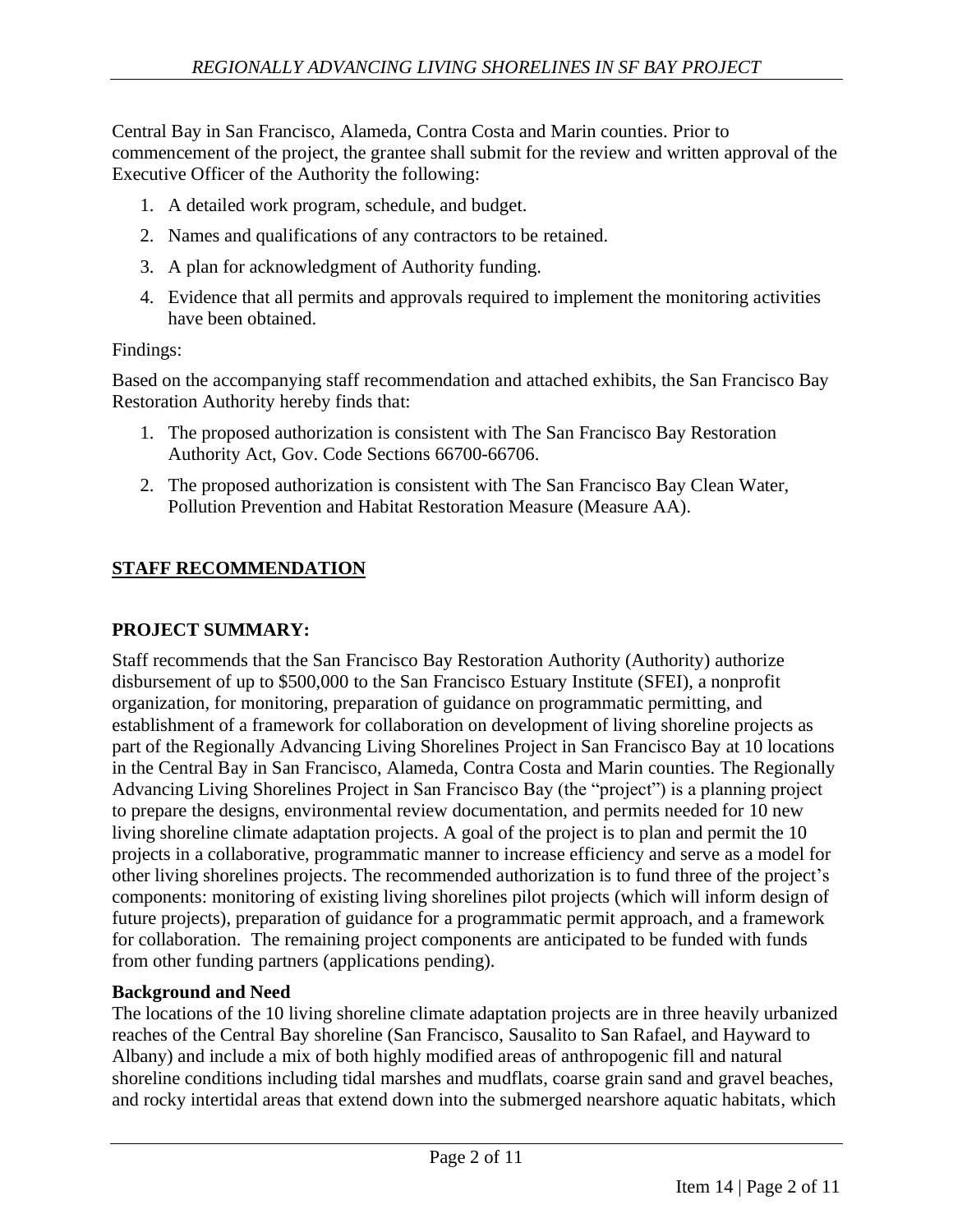Central Bay in San Francisco, Alameda, Contra Costa and Marin counties. Prior to commencement of the project, the grantee shall submit for the review and written approval of the Executive Officer of the Authority the following:

- 1. A detailed work program, schedule, and budget.
- 2. Names and qualifications of any contractors to be retained.
- 3. A plan for acknowledgment of Authority funding.
- 4. Evidence that all permits and approvals required to implement the monitoring activities have been obtained.

## Findings:

Based on the accompanying staff recommendation and attached exhibits, the San Francisco Bay Restoration Authority hereby finds that:

- 1. The proposed authorization is consistent with The San Francisco Bay Restoration Authority Act, Gov. Code Sections 66700-66706.
- 2. The proposed authorization is consistent with The San Francisco Bay Clean Water, Pollution Prevention and Habitat Restoration Measure (Measure AA).

# **STAFF RECOMMENDATION**

## **PROJECT SUMMARY:**

Staff recommends that the San Francisco Bay Restoration Authority (Authority) authorize disbursement of up to \$500,000 to the San Francisco Estuary Institute (SFEI), a nonprofit organization, for monitoring, preparation of guidance on programmatic permitting, and establishment of a framework for collaboration on development of living shoreline projects as part of the Regionally Advancing Living Shorelines Project in San Francisco Bay at 10 locations in the Central Bay in San Francisco, Alameda, Contra Costa and Marin counties. The Regionally Advancing Living Shorelines Project in San Francisco Bay (the "project") is a planning project to prepare the designs, environmental review documentation, and permits needed for 10 new living shoreline climate adaptation projects. A goal of the project is to plan and permit the 10 projects in a collaborative, programmatic manner to increase efficiency and serve as a model for other living shorelines projects. The recommended authorization is to fund three of the project's components: monitoring of existing living shorelines pilot projects (which will inform design of future projects), preparation of guidance for a programmatic permit approach, and a framework for collaboration. The remaining project components are anticipated to be funded with funds from other funding partners (applications pending).

### **Background and Need**

The locations of the 10 living shoreline climate adaptation projects are in three heavily urbanized reaches of the Central Bay shoreline (San Francisco, Sausalito to San Rafael, and Hayward to Albany) and include a mix of both highly modified areas of anthropogenic fill and natural shoreline conditions including tidal marshes and mudflats, coarse grain sand and gravel beaches, and rocky intertidal areas that extend down into the submerged nearshore aquatic habitats, which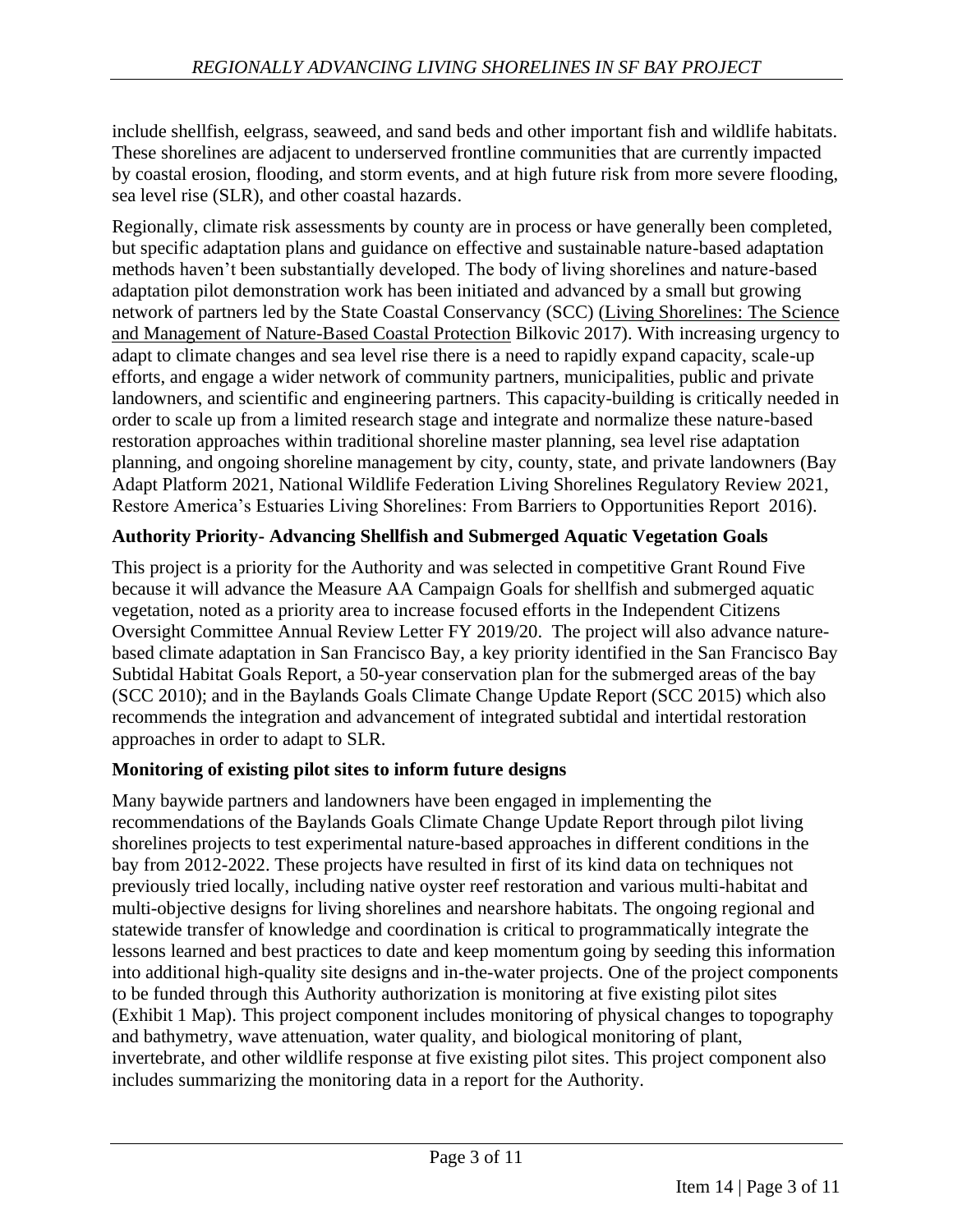include shellfish, eelgrass, seaweed, and sand beds and other important fish and wildlife habitats. These shorelines are adjacent to underserved frontline communities that are currently impacted by coastal erosion, flooding, and storm events, and at high future risk from more severe flooding, sea level rise (SLR), and other coastal hazards.

Regionally, climate risk assessments by county are in process or have generally been completed, but specific adaptation plans and guidance on effective and sustainable nature-based adaptation methods haven't been substantially developed. The body of living shorelines and nature-based adaptation pilot demonstration work has been initiated and advanced by a small but growing network of partners led by the State Coastal Conservancy (SCC) (Living Shorelines: The Science and Management of Nature-Based Coastal Protection Bilkovic 2017). With increasing urgency to adapt to climate changes and sea level rise there is a need to rapidly expand capacity, scale-up efforts, and engage a wider network of community partners, municipalities, public and private landowners, and scientific and engineering partners. This capacity-building is critically needed in order to scale up from a limited research stage and integrate and normalize these nature-based restoration approaches within traditional shoreline master planning, sea level rise adaptation planning, and ongoing shoreline management by city, county, state, and private landowners (Bay Adapt Platform 2021, National Wildlife Federation Living Shorelines Regulatory Review 2021, Restore America's Estuaries Living Shorelines: From Barriers to Opportunities Report 2016).

## **Authority Priority- Advancing Shellfish and Submerged Aquatic Vegetation Goals**

This project is a priority for the Authority and was selected in competitive Grant Round Five because it will advance the Measure AA Campaign Goals for shellfish and submerged aquatic vegetation, noted as a priority area to increase focused efforts in the Independent Citizens Oversight Committee Annual Review Letter FY 2019/20. The project will also advance naturebased climate adaptation in San Francisco Bay, a key priority identified in the San Francisco Bay Subtidal Habitat Goals Report, a 50-year conservation plan for the submerged areas of the bay (SCC 2010); and in the Baylands Goals Climate Change Update Report (SCC 2015) which also recommends the integration and advancement of integrated subtidal and intertidal restoration approaches in order to adapt to SLR.

### **Monitoring of existing pilot sites to inform future designs**

Many baywide partners and landowners have been engaged in implementing the recommendations of the Baylands Goals Climate Change Update Report through pilot living shorelines projects to test experimental nature-based approaches in different conditions in the bay from 2012-2022. These projects have resulted in first of its kind data on techniques not previously tried locally, including native oyster reef restoration and various multi-habitat and multi-objective designs for living shorelines and nearshore habitats. The ongoing regional and statewide transfer of knowledge and coordination is critical to programmatically integrate the lessons learned and best practices to date and keep momentum going by seeding this information into additional high-quality site designs and in-the-water projects. One of the project components to be funded through this Authority authorization is monitoring at five existing pilot sites (Exhibit 1 Map). This project component includes monitoring of physical changes to topography and bathymetry, wave attenuation, water quality, and biological monitoring of plant, invertebrate, and other wildlife response at five existing pilot sites. This project component also includes summarizing the monitoring data in a report for the Authority.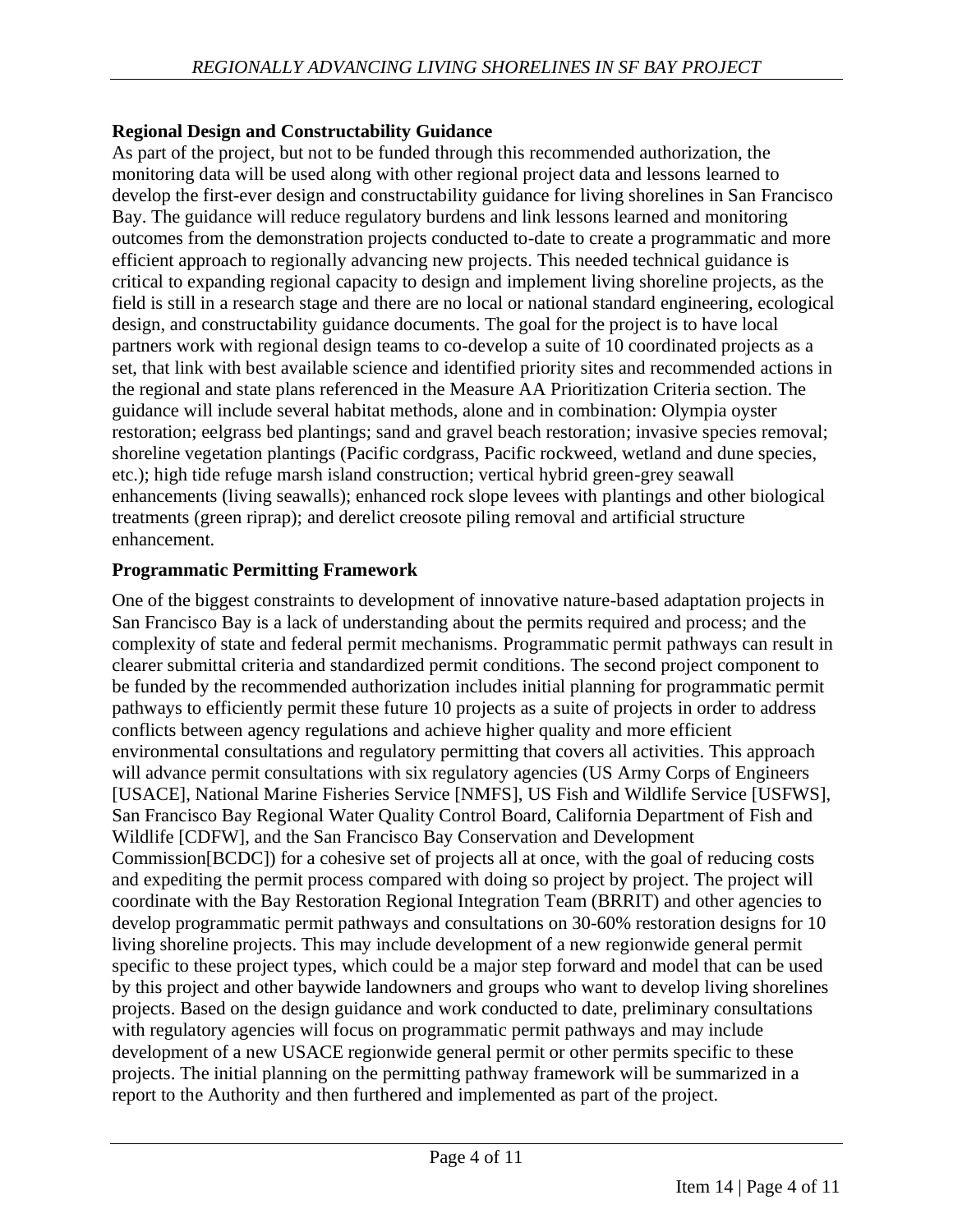## **Regional Design and Constructability Guidance**

As part of the project, but not to be funded through this recommended authorization, the monitoring data will be used along with other regional project data and lessons learned to develop the first-ever design and constructability guidance for living shorelines in San Francisco Bay. The guidance will reduce regulatory burdens and link lessons learned and monitoring outcomes from the demonstration projects conducted to-date to create a programmatic and more efficient approach to regionally advancing new projects. This needed technical guidance is critical to expanding regional capacity to design and implement living shoreline projects, as the field is still in a research stage and there are no local or national standard engineering, ecological design, and constructability guidance documents. The goal for the project is to have local partners work with regional design teams to co-develop a suite of 10 coordinated projects as a set, that link with best available science and identified priority sites and recommended actions in the regional and state plans referenced in the Measure AA Prioritization Criteria section. The guidance will include several habitat methods, alone and in combination: Olympia oyster restoration; eelgrass bed plantings; sand and gravel beach restoration; invasive species removal; shoreline vegetation plantings (Pacific cordgrass, Pacific rockweed, wetland and dune species, etc.); high tide refuge marsh island construction; vertical hybrid green-grey seawall enhancements (living seawalls); enhanced rock slope levees with plantings and other biological treatments (green riprap); and derelict creosote piling removal and artificial structure enhancement.

### **Programmatic Permitting Framework**

One of the biggest constraints to development of innovative nature-based adaptation projects in San Francisco Bay is a lack of understanding about the permits required and process; and the complexity of state and federal permit mechanisms. Programmatic permit pathways can result in clearer submittal criteria and standardized permit conditions. The second project component to be funded by the recommended authorization includes initial planning for programmatic permit pathways to efficiently permit these future 10 projects as a suite of projects in order to address conflicts between agency regulations and achieve higher quality and more efficient environmental consultations and regulatory permitting that covers all activities. This approach will advance permit consultations with six regulatory agencies (US Army Corps of Engineers [USACE], National Marine Fisheries Service [NMFS], US Fish and Wildlife Service [USFWS], San Francisco Bay Regional Water Quality Control Board, California Department of Fish and Wildlife [CDFW], and the San Francisco Bay Conservation and Development Commission[BCDC]) for a cohesive set of projects all at once, with the goal of reducing costs and expediting the permit process compared with doing so project by project. The project will coordinate with the Bay Restoration Regional Integration Team (BRRIT) and other agencies to develop programmatic permit pathways and consultations on 30-60% restoration designs for 10 living shoreline projects. This may include development of a new regionwide general permit specific to these project types, which could be a major step forward and model that can be used by this project and other baywide landowners and groups who want to develop living shorelines projects. Based on the design guidance and work conducted to date, preliminary consultations with regulatory agencies will focus on programmatic permit pathways and may include development of a new USACE regionwide general permit or other permits specific to these projects. The initial planning on the permitting pathway framework will be summarized in a report to the Authority and then furthered and implemented as part of the project.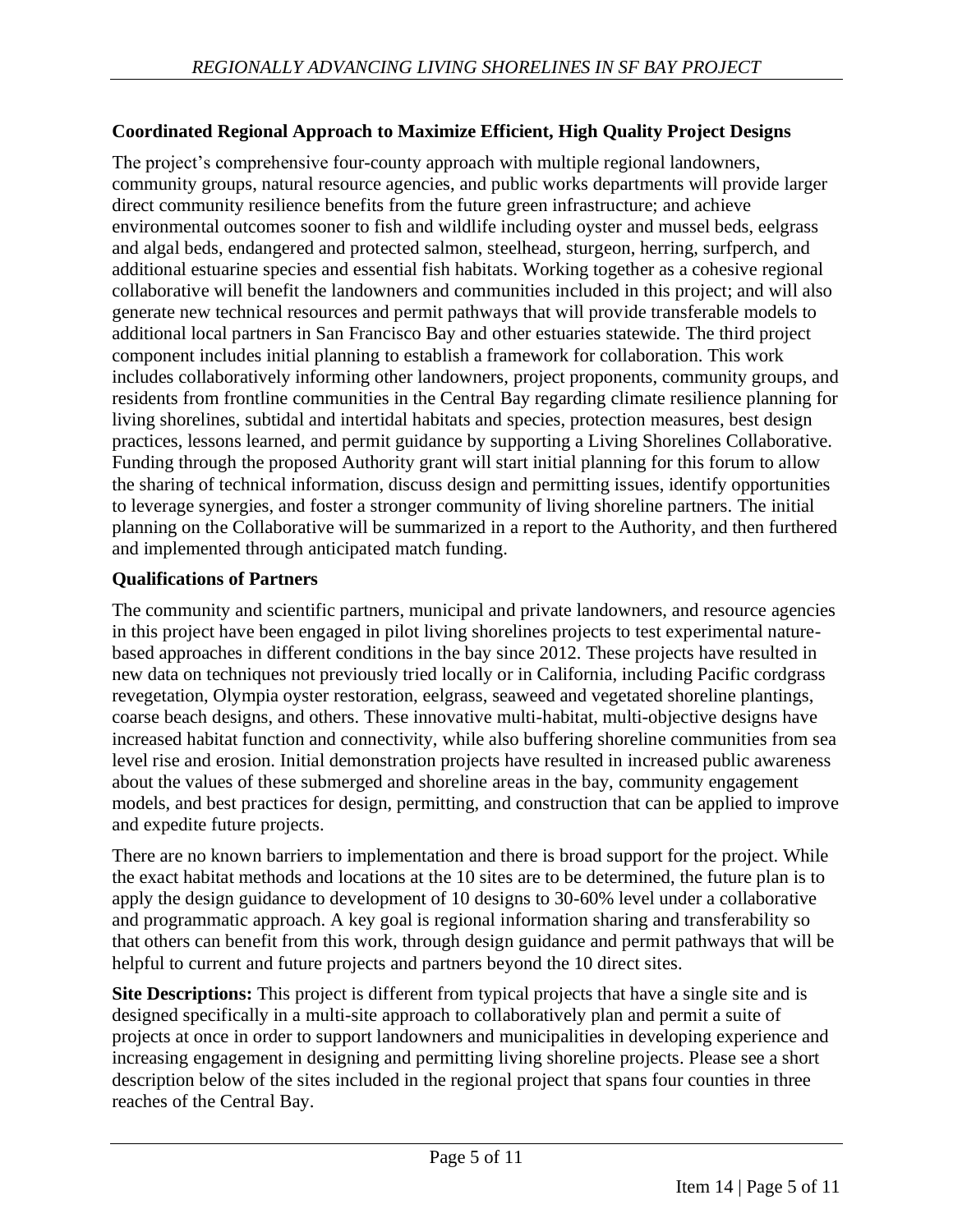### **Coordinated Regional Approach to Maximize Efficient, High Quality Project Designs**

The project's comprehensive four-county approach with multiple regional landowners, community groups, natural resource agencies, and public works departments will provide larger direct community resilience benefits from the future green infrastructure; and achieve environmental outcomes sooner to fish and wildlife including oyster and mussel beds, eelgrass and algal beds, endangered and protected salmon, steelhead, sturgeon, herring, surfperch, and additional estuarine species and essential fish habitats. Working together as a cohesive regional collaborative will benefit the landowners and communities included in this project; and will also generate new technical resources and permit pathways that will provide transferable models to additional local partners in San Francisco Bay and other estuaries statewide. The third project component includes initial planning to establish a framework for collaboration. This work includes collaboratively informing other landowners, project proponents, community groups, and residents from frontline communities in the Central Bay regarding climate resilience planning for living shorelines, subtidal and intertidal habitats and species, protection measures, best design practices, lessons learned, and permit guidance by supporting a Living Shorelines Collaborative. Funding through the proposed Authority grant will start initial planning for this forum to allow the sharing of technical information, discuss design and permitting issues, identify opportunities to leverage synergies, and foster a stronger community of living shoreline partners. The initial planning on the Collaborative will be summarized in a report to the Authority, and then furthered and implemented through anticipated match funding.

### **Qualifications of Partners**

The community and scientific partners, municipal and private landowners, and resource agencies in this project have been engaged in pilot living shorelines projects to test experimental naturebased approaches in different conditions in the bay since 2012. These projects have resulted in new data on techniques not previously tried locally or in California, including Pacific cordgrass revegetation, Olympia oyster restoration, eelgrass, seaweed and vegetated shoreline plantings, coarse beach designs, and others. These innovative multi-habitat, multi-objective designs have increased habitat function and connectivity, while also buffering shoreline communities from sea level rise and erosion. Initial demonstration projects have resulted in increased public awareness about the values of these submerged and shoreline areas in the bay, community engagement models, and best practices for design, permitting, and construction that can be applied to improve and expedite future projects.

There are no known barriers to implementation and there is broad support for the project. While the exact habitat methods and locations at the 10 sites are to be determined, the future plan is to apply the design guidance to development of 10 designs to 30-60% level under a collaborative and programmatic approach. A key goal is regional information sharing and transferability so that others can benefit from this work, through design guidance and permit pathways that will be helpful to current and future projects and partners beyond the 10 direct sites.

**Site Descriptions:** This project is different from typical projects that have a single site and is designed specifically in a multi-site approach to collaboratively plan and permit a suite of projects at once in order to support landowners and municipalities in developing experience and increasing engagement in designing and permitting living shoreline projects. Please see a short description below of the sites included in the regional project that spans four counties in three reaches of the Central Bay.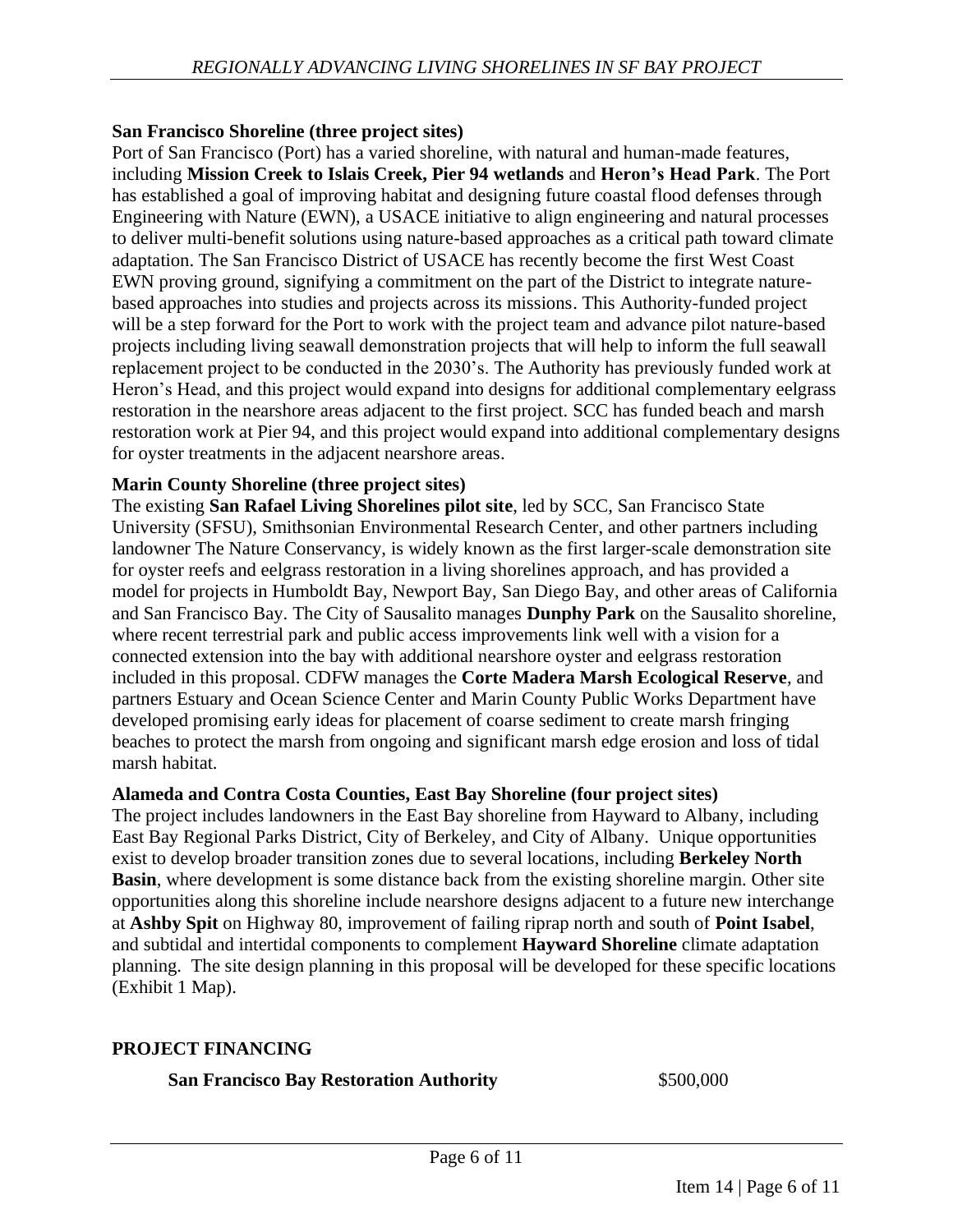#### **San Francisco Shoreline (three project sites)**

Port of San Francisco (Port) has a varied shoreline, with natural and human-made features, including **Mission Creek to Islais Creek, Pier 94 wetlands** and **Heron's Head Park**. The Port has established a goal of improving habitat and designing future coastal flood defenses through Engineering with Nature (EWN), a USACE initiative to align engineering and natural processes to deliver multi-benefit solutions using nature-based approaches as a critical path toward climate adaptation. The San Francisco District of USACE has recently become the first West Coast EWN proving ground, signifying a commitment on the part of the District to integrate naturebased approaches into studies and projects across its missions. This Authority-funded project will be a step forward for the Port to work with the project team and advance pilot nature-based projects including living seawall demonstration projects that will help to inform the full seawall replacement project to be conducted in the 2030's. The Authority has previously funded work at Heron's Head, and this project would expand into designs for additional complementary eelgrass restoration in the nearshore areas adjacent to the first project. SCC has funded beach and marsh restoration work at Pier 94, and this project would expand into additional complementary designs for oyster treatments in the adjacent nearshore areas.

#### **Marin County Shoreline (three project sites)**

The existing **San Rafael Living Shorelines pilot site**, led by SCC, San Francisco State University (SFSU), Smithsonian Environmental Research Center, and other partners including landowner The Nature Conservancy, is widely known as the first larger-scale demonstration site for oyster reefs and eelgrass restoration in a living shorelines approach, and has provided a model for projects in Humboldt Bay, Newport Bay, San Diego Bay, and other areas of California and San Francisco Bay. The City of Sausalito manages **Dunphy Park** on the Sausalito shoreline, where recent terrestrial park and public access improvements link well with a vision for a connected extension into the bay with additional nearshore oyster and eelgrass restoration included in this proposal. CDFW manages the **Corte Madera Marsh Ecological Reserve**, and partners Estuary and Ocean Science Center and Marin County Public Works Department have developed promising early ideas for placement of coarse sediment to create marsh fringing beaches to protect the marsh from ongoing and significant marsh edge erosion and loss of tidal marsh habitat.

#### **Alameda and Contra Costa Counties, East Bay Shoreline (four project sites)**

The project includes landowners in the East Bay shoreline from Hayward to Albany, including East Bay Regional Parks District, City of Berkeley, and City of Albany. Unique opportunities exist to develop broader transition zones due to several locations, including **Berkeley North Basin**, where development is some distance back from the existing shoreline margin. Other site opportunities along this shoreline include nearshore designs adjacent to a future new interchange at **Ashby Spit** on Highway 80, improvement of failing riprap north and south of **Point Isabel**, and subtidal and intertidal components to complement **Hayward Shoreline** climate adaptation planning. The site design planning in this proposal will be developed for these specific locations (Exhibit 1 Map).

### **PROJECT FINANCING**

#### **San Francisco Bay Restoration Authority** \$500,000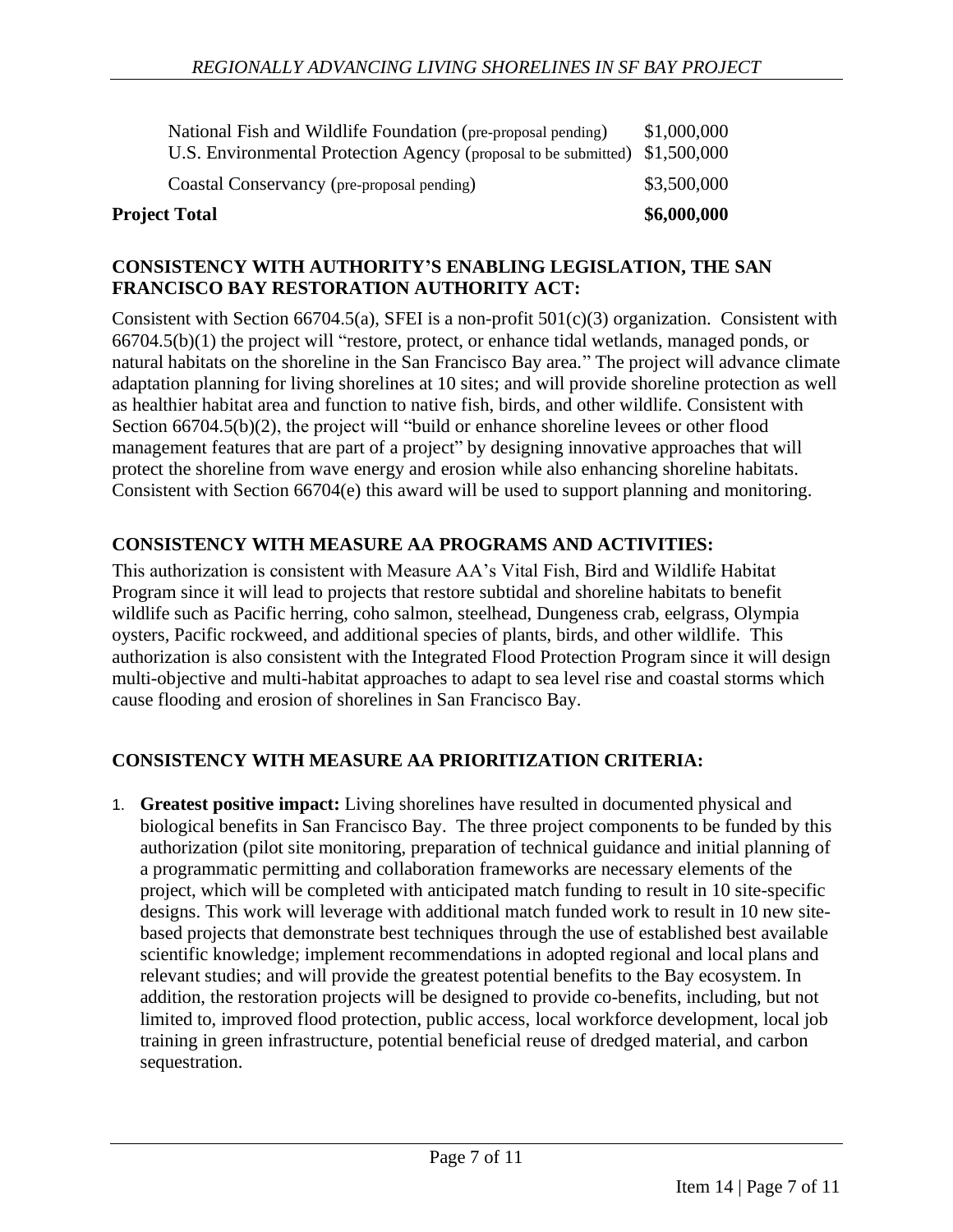| <b>Project Total</b>                                                        | \$6,000,000 |
|-----------------------------------------------------------------------------|-------------|
| Coastal Conservancy (pre-proposal pending)                                  | \$3,500,000 |
| U.S. Environmental Protection Agency (proposal to be submitted) \$1,500,000 |             |
| National Fish and Wildlife Foundation (pre-proposal pending)                | \$1,000,000 |

#### **CONSISTENCY WITH AUTHORITY'S ENABLING LEGISLATION, THE SAN FRANCISCO BAY RESTORATION AUTHORITY ACT:**

Consistent with Section 66704.5(a), SFEI is a non-profit  $501(c)(3)$  organization. Consistent with 66704.5(b)(1) the project will "restore, protect, or enhance tidal wetlands, managed ponds, or natural habitats on the shoreline in the San Francisco Bay area." The project will advance climate adaptation planning for living shorelines at 10 sites; and will provide shoreline protection as well as healthier habitat area and function to native fish, birds, and other wildlife. Consistent with Section 66704.5(b)(2), the project will "build or enhance shoreline levees or other flood management features that are part of a project" by designing innovative approaches that will protect the shoreline from wave energy and erosion while also enhancing shoreline habitats. Consistent with Section 66704(e) this award will be used to support planning and monitoring.

#### **CONSISTENCY WITH MEASURE AA PROGRAMS AND ACTIVITIES:**

This authorization is consistent with Measure AA's Vital Fish, Bird and Wildlife Habitat Program since it will lead to projects that restore subtidal and shoreline habitats to benefit wildlife such as Pacific herring, coho salmon, steelhead, Dungeness crab, eelgrass, Olympia oysters, Pacific rockweed, and additional species of plants, birds, and other wildlife. This authorization is also consistent with the Integrated Flood Protection Program since it will design multi-objective and multi-habitat approaches to adapt to sea level rise and coastal storms which cause flooding and erosion of shorelines in San Francisco Bay.

## **CONSISTENCY WITH MEASURE AA PRIORITIZATION CRITERIA:**

1. **Greatest positive impact:** Living shorelines have resulted in documented physical and biological benefits in San Francisco Bay. The three project components to be funded by this authorization (pilot site monitoring, preparation of technical guidance and initial planning of a programmatic permitting and collaboration frameworks are necessary elements of the project, which will be completed with anticipated match funding to result in 10 site-specific designs. This work will leverage with additional match funded work to result in 10 new sitebased projects that demonstrate best techniques through the use of established best available scientific knowledge; implement recommendations in adopted regional and local plans and relevant studies; and will provide the greatest potential benefits to the Bay ecosystem. In addition, the restoration projects will be designed to provide co-benefits, including, but not limited to, improved flood protection, public access, local workforce development, local job training in green infrastructure, potential beneficial reuse of dredged material, and carbon sequestration.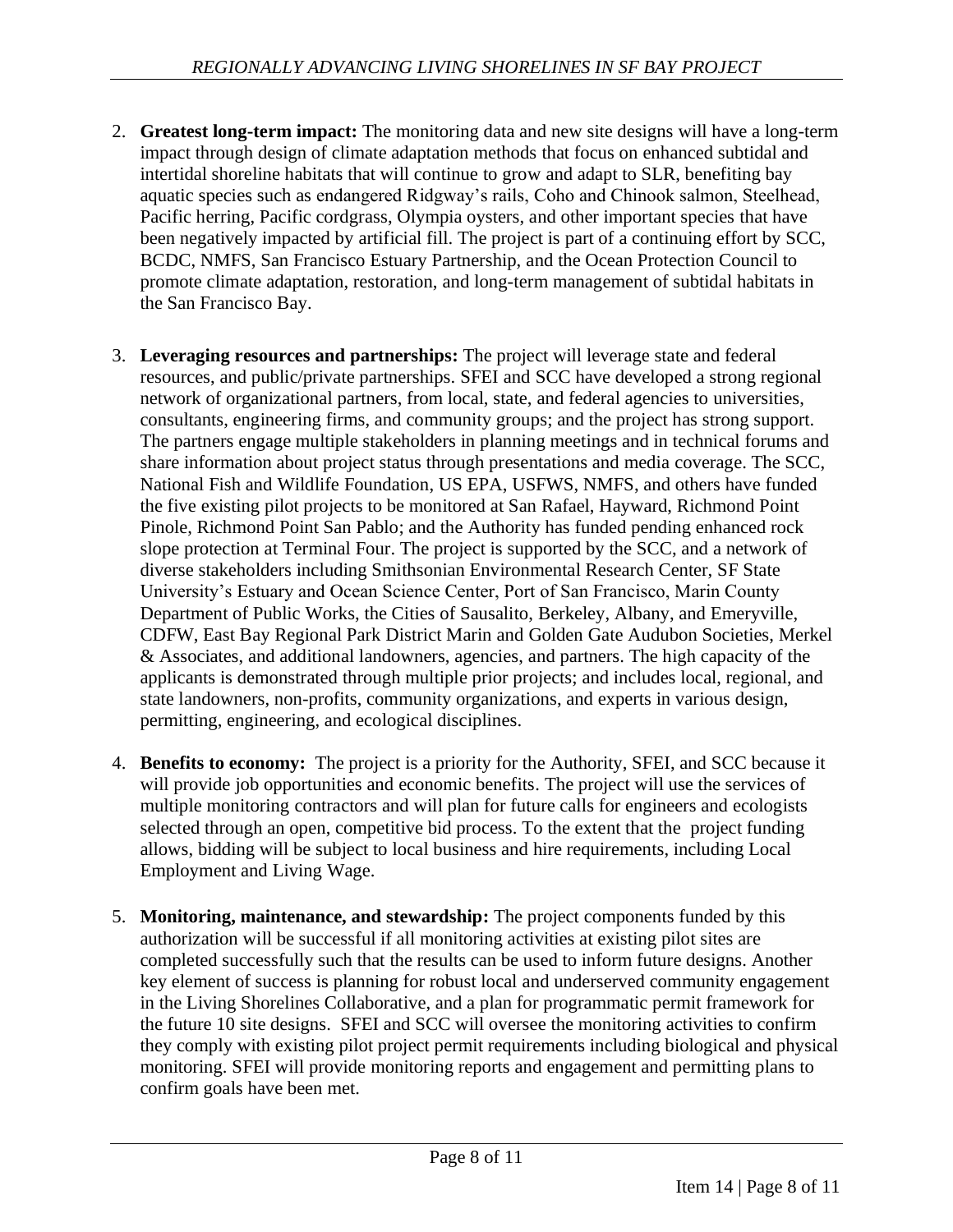- 2. **Greatest long-term impact:** The monitoring data and new site designs will have a long-term impact through design of climate adaptation methods that focus on enhanced subtidal and intertidal shoreline habitats that will continue to grow and adapt to SLR, benefiting bay aquatic species such as endangered Ridgway's rails, Coho and Chinook salmon, Steelhead, Pacific herring, Pacific cordgrass, Olympia oysters, and other important species that have been negatively impacted by artificial fill. The project is part of a continuing effort by SCC, BCDC, NMFS, San Francisco Estuary Partnership, and the Ocean Protection Council to promote climate adaptation, restoration, and long-term management of subtidal habitats in the San Francisco Bay.
- 3. **Leveraging resources and partnerships:** The project will leverage state and federal resources, and public/private partnerships. SFEI and SCC have developed a strong regional network of organizational partners, from local, state, and federal agencies to universities, consultants, engineering firms, and community groups; and the project has strong support. The partners engage multiple stakeholders in planning meetings and in technical forums and share information about project status through presentations and media coverage. The SCC, National Fish and Wildlife Foundation, US EPA, USFWS, NMFS, and others have funded the five existing pilot projects to be monitored at San Rafael, Hayward, Richmond Point Pinole, Richmond Point San Pablo; and the Authority has funded pending enhanced rock slope protection at Terminal Four. The project is supported by the SCC, and a network of diverse stakeholders including Smithsonian Environmental Research Center, SF State University's Estuary and Ocean Science Center, Port of San Francisco, Marin County Department of Public Works, the Cities of Sausalito, Berkeley, Albany, and Emeryville, CDFW, East Bay Regional Park District Marin and Golden Gate Audubon Societies, Merkel & Associates, and additional landowners, agencies, and partners. The high capacity of the applicants is demonstrated through multiple prior projects; and includes local, regional, and state landowners, non-profits, community organizations, and experts in various design, permitting, engineering, and ecological disciplines.
- 4. **Benefits to economy:** The project is a priority for the Authority, SFEI, and SCC because it will provide job opportunities and economic benefits. The project will use the services of multiple monitoring contractors and will plan for future calls for engineers and ecologists selected through an open, competitive bid process. To the extent that the project funding allows, bidding will be subject to local business and hire requirements, including Local Employment and Living Wage.
- 5. **Monitoring, maintenance, and stewardship:** The project components funded by this authorization will be successful if all monitoring activities at existing pilot sites are completed successfully such that the results can be used to inform future designs. Another key element of success is planning for robust local and underserved community engagement in the Living Shorelines Collaborative, and a plan for programmatic permit framework for the future 10 site designs. SFEI and SCC will oversee the monitoring activities to confirm they comply with existing pilot project permit requirements including biological and physical monitoring. SFEI will provide monitoring reports and engagement and permitting plans to confirm goals have been met.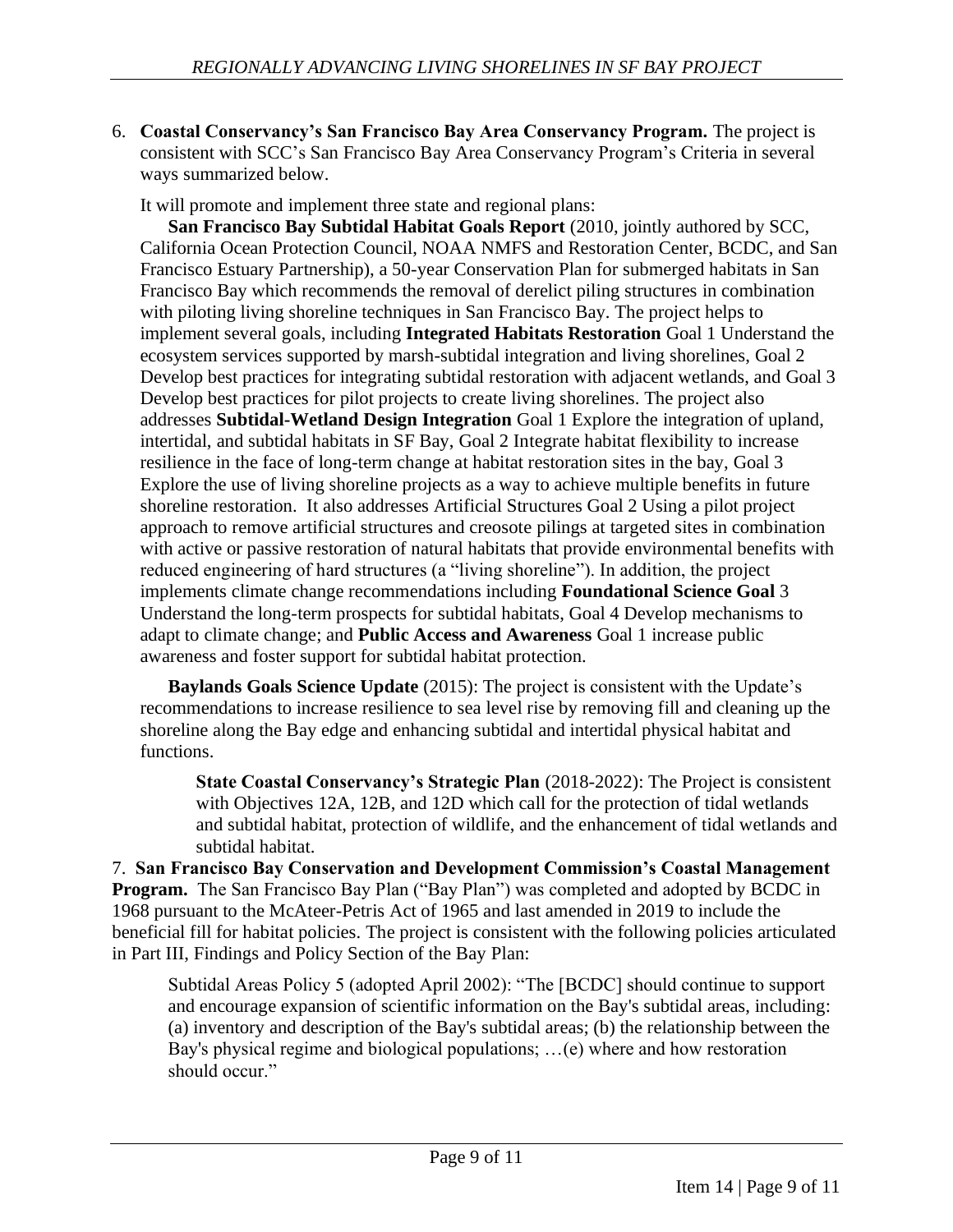6. **Coastal Conservancy's San Francisco Bay Area Conservancy Program.** The project is consistent with SCC's San Francisco Bay Area Conservancy Program's Criteria in several ways summarized below.

It will promote and implement three state and regional plans:

**San Francisco Bay Subtidal Habitat Goals Report** (2010, jointly authored by SCC, California Ocean Protection Council, NOAA NMFS and Restoration Center, BCDC, and San Francisco Estuary Partnership), a 50-year Conservation Plan for submerged habitats in San Francisco Bay which recommends the removal of derelict piling structures in combination with piloting living shoreline techniques in San Francisco Bay. The project helps to implement several goals, including **Integrated Habitats Restoration** Goal 1 Understand the ecosystem services supported by marsh-subtidal integration and living shorelines, Goal 2 Develop best practices for integrating subtidal restoration with adjacent wetlands, and Goal 3 Develop best practices for pilot projects to create living shorelines. The project also addresses **Subtidal-Wetland Design Integration** Goal 1 Explore the integration of upland, intertidal, and subtidal habitats in SF Bay, Goal 2 Integrate habitat flexibility to increase resilience in the face of long-term change at habitat restoration sites in the bay, Goal 3 Explore the use of living shoreline projects as a way to achieve multiple benefits in future shoreline restoration. It also addresses Artificial Structures Goal 2 Using a pilot project approach to remove artificial structures and creosote pilings at targeted sites in combination with active or passive restoration of natural habitats that provide environmental benefits with reduced engineering of hard structures (a "living shoreline"). In addition, the project implements climate change recommendations including **Foundational Science Goal** 3 Understand the long-term prospects for subtidal habitats, Goal 4 Develop mechanisms to adapt to climate change; and **Public Access and Awareness** Goal 1 increase public awareness and foster support for subtidal habitat protection.

**Baylands Goals Science Update** (2015): The project is consistent with the Update's recommendations to increase resilience to sea level rise by removing fill and cleaning up the shoreline along the Bay edge and enhancing subtidal and intertidal physical habitat and functions.

**State Coastal Conservancy's Strategic Plan** (2018-2022): The Project is consistent with Objectives 12A, 12B, and 12D which call for the protection of tidal wetlands and subtidal habitat, protection of wildlife, and the enhancement of tidal wetlands and subtidal habitat.

7. **San Francisco Bay Conservation and Development Commission's Coastal Management Program.** The San Francisco Bay Plan ("Bay Plan") was completed and adopted by BCDC in 1968 pursuant to the McAteer-Petris Act of 1965 and last amended in 2019 to include the beneficial fill for habitat policies. The project is consistent with the following policies articulated in Part III, Findings and Policy Section of the Bay Plan:

Subtidal Areas Policy 5 (adopted April 2002): "The [BCDC] should continue to support and encourage expansion of scientific information on the Bay's subtidal areas, including: (a) inventory and description of the Bay's subtidal areas; (b) the relationship between the Bay's physical regime and biological populations; …(e) where and how restoration should occur."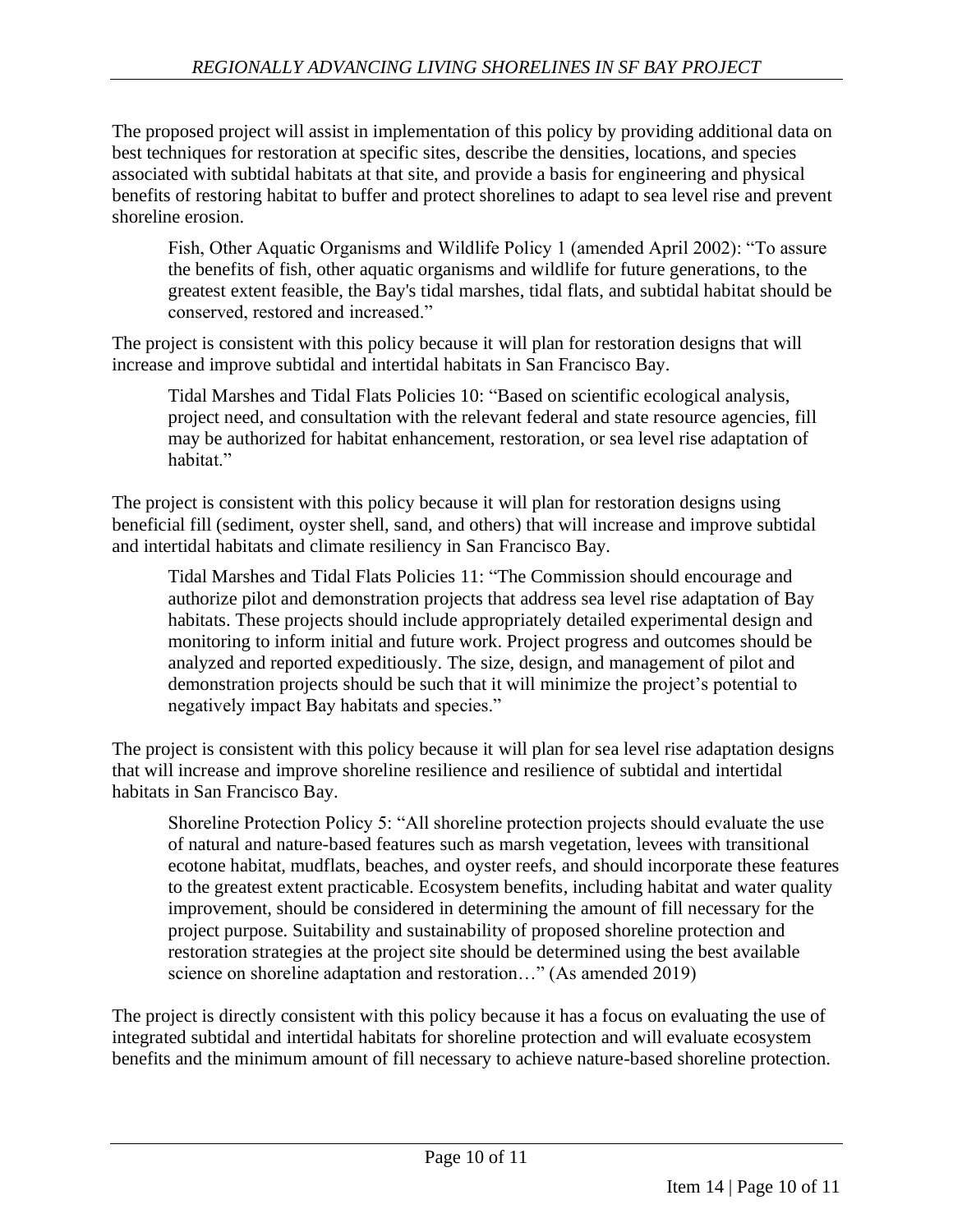The proposed project will assist in implementation of this policy by providing additional data on best techniques for restoration at specific sites, describe the densities, locations, and species associated with subtidal habitats at that site, and provide a basis for engineering and physical benefits of restoring habitat to buffer and protect shorelines to adapt to sea level rise and prevent shoreline erosion.

Fish, Other Aquatic Organisms and Wildlife Policy 1 (amended April 2002): "To assure the benefits of fish, other aquatic organisms and wildlife for future generations, to the greatest extent feasible, the Bay's tidal marshes, tidal flats, and subtidal habitat should be conserved, restored and increased."

The project is consistent with this policy because it will plan for restoration designs that will increase and improve subtidal and intertidal habitats in San Francisco Bay.

Tidal Marshes and Tidal Flats Policies 10: "Based on scientific ecological analysis, project need, and consultation with the relevant federal and state resource agencies, fill may be authorized for habitat enhancement, restoration, or sea level rise adaptation of habitat."

The project is consistent with this policy because it will plan for restoration designs using beneficial fill (sediment, oyster shell, sand, and others) that will increase and improve subtidal and intertidal habitats and climate resiliency in San Francisco Bay.

Tidal Marshes and Tidal Flats Policies 11: "The Commission should encourage and authorize pilot and demonstration projects that address sea level rise adaptation of Bay habitats. These projects should include appropriately detailed experimental design and monitoring to inform initial and future work. Project progress and outcomes should be analyzed and reported expeditiously. The size, design, and management of pilot and demonstration projects should be such that it will minimize the project's potential to negatively impact Bay habitats and species."

The project is consistent with this policy because it will plan for sea level rise adaptation designs that will increase and improve shoreline resilience and resilience of subtidal and intertidal habitats in San Francisco Bay.

Shoreline Protection Policy 5: "All shoreline protection projects should evaluate the use of natural and nature-based features such as marsh vegetation, levees with transitional ecotone habitat, mudflats, beaches, and oyster reefs, and should incorporate these features to the greatest extent practicable. Ecosystem benefits, including habitat and water quality improvement, should be considered in determining the amount of fill necessary for the project purpose. Suitability and sustainability of proposed shoreline protection and restoration strategies at the project site should be determined using the best available science on shoreline adaptation and restoration..." (As amended 2019)

The project is directly consistent with this policy because it has a focus on evaluating the use of integrated subtidal and intertidal habitats for shoreline protection and will evaluate ecosystem benefits and the minimum amount of fill necessary to achieve nature-based shoreline protection.